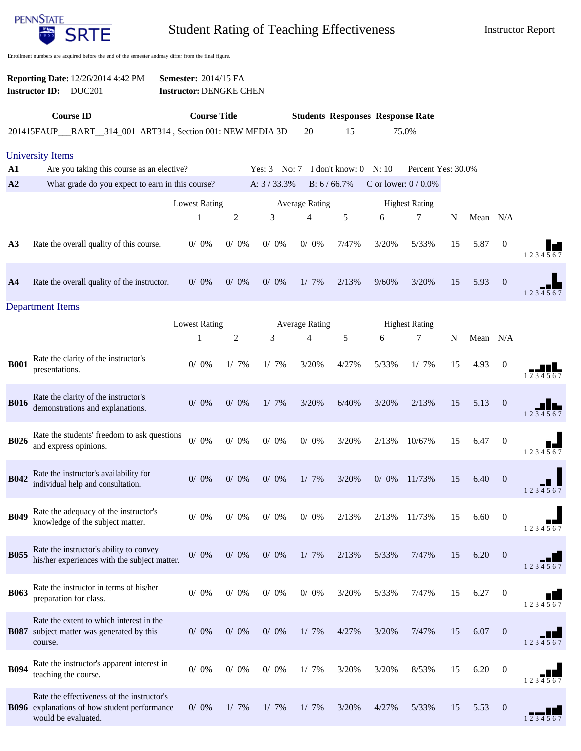

Student Rating of Teaching Effectiveness Instructor Report

Enrollment numbers are acquired before the end of the semester andmay differ from the final figure.

|                         | <b>Reporting Date: 12/26/2014 4:42 PM</b><br><b>Instructor ID:</b><br><b>DUC201</b>        | <b>Semester: 2014/15 FA</b><br><b>Instructor: DENGKE CHEN</b> |                     |            |                       |                         |                                         |                       |    |          |                  |         |
|-------------------------|--------------------------------------------------------------------------------------------|---------------------------------------------------------------|---------------------|------------|-----------------------|-------------------------|-----------------------------------------|-----------------------|----|----------|------------------|---------|
|                         | <b>Course ID</b>                                                                           |                                                               | <b>Course Title</b> |            |                       |                         | <b>Students Responses Response Rate</b> |                       |    |          |                  |         |
|                         | 201415FAUP_RART_314_001 ART314, Section 001: NEW MEDIA 3D                                  |                                                               |                     |            | 20                    | 15                      |                                         | 75.0%                 |    |          |                  |         |
| <b>University Items</b> |                                                                                            |                                                               |                     |            |                       |                         |                                         |                       |    |          |                  |         |
| ${\bf A1}$              | Are you taking this course as an elective?                                                 |                                                               |                     | Yes: $3$   | No: 7                 | I don't know: $0$ N: 10 |                                         | Percent Yes: 30.0%    |    |          |                  |         |
| A2                      | What grade do you expect to earn in this course?                                           |                                                               |                     | A: 3/33.3% |                       | B: 6 / 66.7%            |                                         | C or lower: $0/0.0\%$ |    |          |                  |         |
|                         |                                                                                            | <b>Lowest Rating</b>                                          |                     |            | <b>Average Rating</b> |                         | <b>Highest Rating</b>                   |                       |    |          |                  |         |
|                         |                                                                                            | $\mathbf{1}$                                                  | $\overline{c}$      | 3          | $\overline{4}$        | 5                       | 6                                       | 7                     | N  | Mean N/A |                  |         |
|                         |                                                                                            |                                                               |                     |            |                       |                         |                                         |                       |    |          |                  |         |
| A <sub>3</sub>          | Rate the overall quality of this course.                                                   | $0/0\%$                                                       | $0/0\%$             | $0/0\%$    | $0/0\%$               | 7/47%                   | 3/20%                                   | 5/33%                 | 15 | 5.87     | $\boldsymbol{0}$ | 1234567 |
|                         |                                                                                            |                                                               |                     |            |                       |                         |                                         |                       |    |          |                  |         |
| A <sub>4</sub>          | Rate the overall quality of the instructor.                                                | $0/0\%$                                                       | $0/0\%$             | $0/0\%$    | $1/7\%$               | 2/13%                   | 9/60%                                   | 3/20%                 | 15 | 5.93     | $\mathbf{0}$     |         |
|                         |                                                                                            |                                                               |                     |            |                       |                         |                                         |                       |    |          |                  | 1234567 |
| <b>Department Items</b> |                                                                                            |                                                               |                     |            |                       |                         |                                         |                       |    |          |                  |         |
|                         |                                                                                            | <b>Lowest Rating</b>                                          |                     |            | <b>Average Rating</b> |                         |                                         | <b>Highest Rating</b> |    |          |                  |         |
|                         |                                                                                            | 1                                                             | $\overline{c}$      | 3          | 4                     | 5                       | 6                                       | 7                     | N  | Mean N/A |                  |         |
| <b>B001</b>             | Rate the clarity of the instructor's                                                       | $0/ 0\%$                                                      | $1/7\%$             | $1/7\%$    | 3/20%                 | 4/27%                   | 5/33%                                   | $1/7\%$               | 15 | 4.93     | $\mathbf{0}$     |         |
|                         | presentations.                                                                             |                                                               |                     |            |                       |                         |                                         |                       |    |          |                  | 234567  |
|                         | Rate the clarity of the instructor's                                                       |                                                               |                     |            |                       |                         |                                         |                       |    |          |                  |         |
| <b>B016</b>             | demonstrations and explanations.                                                           | $0/0\%$                                                       | $0/0\%$             | $1/7\%$    | 3/20%                 | 6/40%                   | 3/20%                                   | 2/13%                 | 15 | 5.13     | $\mathbf{0}$     | 1234567 |
|                         |                                                                                            |                                                               |                     |            |                       |                         |                                         |                       |    |          |                  |         |
| <b>B026</b>             | Rate the students' freedom to ask questions<br>and express opinions.                       | $0/$ $0\%$                                                    | $0/ 0\%$            | $0/0\%$    | $0/0\%$               | 3/20%                   | 2/13%                                   | 10/67%                | 15 | 6.47     | $\boldsymbol{0}$ |         |
|                         |                                                                                            |                                                               |                     |            |                       |                         |                                         |                       |    |          |                  | 1234567 |
|                         | Rate the instructor's availability for                                                     |                                                               |                     |            |                       |                         |                                         |                       |    |          |                  |         |
| <b>B042</b>             | individual help and consultation.                                                          | $0/0\%$                                                       | $0/0\%$             | $0/0\%$    | $1/7\%$               | 3/20%                   | $0/0\%$                                 | 11/73%                | 15 | 6.40     | $\mathbf{0}$     | 1234567 |
|                         |                                                                                            |                                                               |                     |            |                       |                         |                                         |                       |    |          |                  |         |
| <b>B049</b>             | Rate the adequacy of the instructor's<br>knowledge of the subject matter.                  | $0/0\%$                                                       | $0/0\%$             | $0/0\%$    | $0/0\%$               | 2/13%                   | 2/13%                                   | 11/73%                | 15 | 6.60     | $\boldsymbol{0}$ |         |
|                         |                                                                                            |                                                               |                     |            |                       |                         |                                         |                       |    |          |                  | 1234567 |
| <b>B055</b>             | Rate the instructor's ability to convey                                                    | $0/0\%$                                                       | $0/0\%$             | $0/0\%$    | 1/7%                  | 2/13%                   | 5/33%                                   | 7/47%                 | 15 | 6.20     | $\mathbf{0}$     |         |
|                         | his/her experiences with the subject matter.                                               |                                                               |                     |            |                       |                         |                                         |                       |    |          |                  | 1234567 |
|                         |                                                                                            |                                                               |                     |            |                       |                         |                                         |                       |    |          |                  |         |
| <b>B063</b>             | Rate the instructor in terms of his/her<br>preparation for class.                          | $0/0\%$                                                       | $0/ 0\%$            | $0/0\%$    | $0/0\%$               | 3/20%                   | 5/33%                                   | 7/47%                 | 15 | 6.27     | $\mathbf{0}$     |         |
|                         |                                                                                            |                                                               |                     |            |                       |                         |                                         |                       |    |          |                  | 1234567 |
| <b>B087</b>             | Rate the extent to which interest in the<br>subject matter was generated by this           | $0/ 0\%$                                                      | $0/ 0\%$            | $0/0\%$    | $1/7\%$               | 4/27%                   | 3/20%                                   | 7/47%                 | 15 | 6.07     | $\mathbf{0}$     |         |
|                         | course.                                                                                    |                                                               |                     |            |                       |                         |                                         |                       |    |          |                  | 1234567 |
|                         | Rate the instructor's apparent interest in                                                 |                                                               |                     |            |                       |                         |                                         |                       |    |          |                  |         |
| <b>B094</b>             | teaching the course.                                                                       | $0/ 0\%$                                                      | $0/0\%$             | $0/ 0\%$   | $1/7\%$               | 3/20%                   | 3/20%                                   | 8/53%                 | 15 | 6.20     | $\mathbf{0}$     |         |
|                         |                                                                                            |                                                               |                     |            |                       |                         |                                         |                       |    |          |                  | 1234567 |
|                         | Rate the effectiveness of the instructor's<br>B096 explanations of how student performance | $0/0\%$                                                       | $1/7\%$             | $1/7\%$    | $1/7\%$               | 3/20%                   | 4/27%                                   | 5/33%                 | 15 | 5.53     | $\overline{0}$   |         |
|                         | would be evaluated.                                                                        |                                                               |                     |            |                       |                         |                                         |                       |    |          |                  | 1234567 |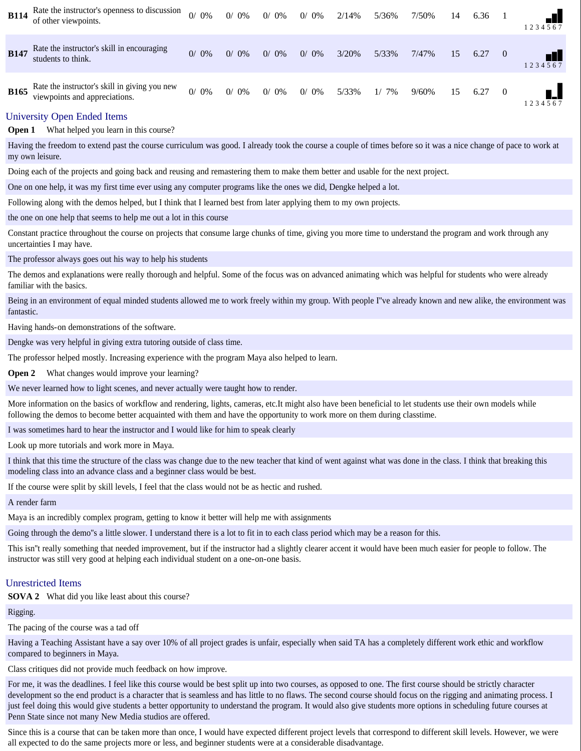| <b>B114</b> | Rate the instructor's openness to discussion<br>of other viewpoints.           | $0/0\%$ | $0/0\%$ | $0/0\%$ | $0/0\%$ | 2/14% | 5/36%   | 7/50% | 14 | 6.36 |                | 234567  |
|-------------|--------------------------------------------------------------------------------|---------|---------|---------|---------|-------|---------|-------|----|------|----------------|---------|
| <b>B147</b> | Rate the instructor's skill in encouraging<br>students to think.               | $0/0\%$ | $0/0\%$ | $0/0\%$ | $0/0\%$ | 3/20% | 5/33%   | 7/47% | 15 | 6.27 | $\overline{0}$ | 1234567 |
| <b>B165</b> | Rate the instructor's skill in giving you new<br>viewpoints and appreciations. | $0/0\%$ | $0/0\%$ | $0/0\%$ | $0/0\%$ | 5/33% | $1/7\%$ | 9/60% | 15 | 6.27 | $\overline{0}$ | 234567  |

## University Open Ended Items

**Open 1** What helped you learn in this course?

Having the freedom to extend past the course curriculum was good. I already took the course a couple of times before so it was a nice change of pace to work at my own leisure.

Doing each of the projects and going back and reusing and remastering them to make them better and usable for the next project.

One on one help, it was my first time ever using any computer programs like the ones we did, Dengke helped a lot.

Following along with the demos helped, but I think that I learned best from later applying them to my own projects.

the one on one help that seems to help me out a lot in this course

Constant practice throughout the course on projects that consume large chunks of time, giving you more time to understand the program and work through any uncertainties I may have.

The professor always goes out his way to help his students

The demos and explanations were really thorough and helpful. Some of the focus was on advanced animating which was helpful for students who were already familiar with the basics.

Being in an environment of equal minded students allowed me to work freely within my group. With people I've already known and new alike, the environment was fantastic.

Having hands-on demonstrations of the software.

Dengke was very helpful in giving extra tutoring outside of class time.

The professor helped mostly. Increasing experience with the program Maya also helped to learn.

**Open 2** What changes would improve your learning?

We never learned how to light scenes, and never actually were taught how to render.

More information on the basics of workflow and rendering, lights, cameras, etc.It might also have been beneficial to let students use their own models while following the demos to become better acquainted with them and have the opportunity to work more on them during classtime.

I was sometimes hard to hear the instructor and I would like for him to speak clearly

Look up more tutorials and work more in Maya.

I think that this time the structure of the class was change due to the new teacher that kind of went against what was done in the class. I think that breaking this modeling class into an advance class and a beginner class would be best.

If the course were split by skill levels, I feel that the class would not be as hectic and rushed.

A render farm

Maya is an incredibly complex program, getting to know it better will help me with assignments

Going through the demo''s a little slower. I understand there is a lot to fit in to each class period which may be a reason for this.

This isn''t really something that needed improvement, but if the instructor had a slightly clearer accent it would have been much easier for people to follow. The instructor was still very good at helping each individual student on a one-on-one basis.

## Unrestricted Items

**SOVA 2** What did you like least about this course?

Rigging.

The pacing of the course was a tad off

Having a Teaching Assistant have a say over 10% of all project grades is unfair, especially when said TA has a completely different work ethic and workflow compared to beginners in Maya.

Class critiques did not provide much feedback on how improve.

For me, it was the deadlines. I feel like this course would be best split up into two courses, as opposed to one. The first course should be strictly character development so the end product is a character that is seamless and has little to no flaws. The second course should focus on the rigging and animating process. I just feel doing this would give students a better opportunity to understand the program. It would also give students more options in scheduling future courses at Penn State since not many New Media studios are offered.

Since this is a course that can be taken more than once, I would have expected different project levels that correspond to different skill levels. However, we were all expected to do the same projects more or less, and beginner students were at a considerable disadvantage.